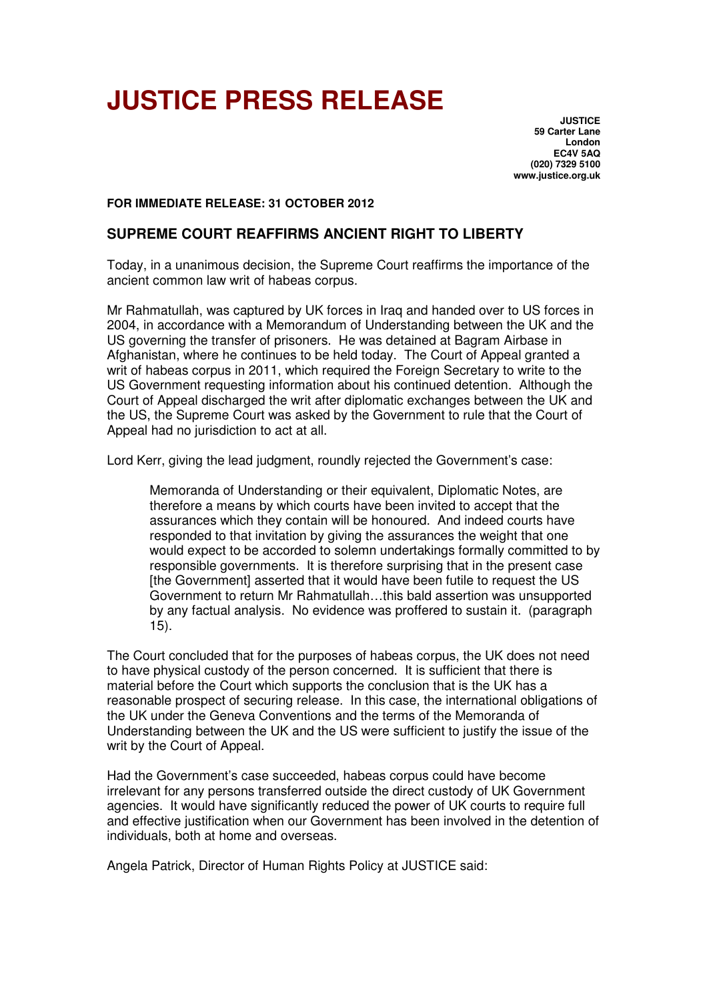# **JUSTICE PRESS RELEASE**

**JUSTICE 59 Carter Lane London EC4V 5AQ (020) 7329 5100 www.justice.org.uk** 

**FOR IMMEDIATE RELEASE: 31 OCTOBER 2012** 

# **SUPREME COURT REAFFIRMS ANCIENT RIGHT TO LIBERTY**

Today, in a unanimous decision, the Supreme Court reaffirms the importance of the ancient common law writ of habeas corpus.

Mr Rahmatullah, was captured by UK forces in Iraq and handed over to US forces in 2004, in accordance with a Memorandum of Understanding between the UK and the US governing the transfer of prisoners. He was detained at Bagram Airbase in Afghanistan, where he continues to be held today. The Court of Appeal granted a writ of habeas corpus in 2011, which required the Foreign Secretary to write to the US Government requesting information about his continued detention. Although the Court of Appeal discharged the writ after diplomatic exchanges between the UK and the US, the Supreme Court was asked by the Government to rule that the Court of Appeal had no jurisdiction to act at all.

Lord Kerr, giving the lead judgment, roundly rejected the Government's case:

Memoranda of Understanding or their equivalent, Diplomatic Notes, are therefore a means by which courts have been invited to accept that the assurances which they contain will be honoured. And indeed courts have responded to that invitation by giving the assurances the weight that one would expect to be accorded to solemn undertakings formally committed to by responsible governments. It is therefore surprising that in the present case [the Government] asserted that it would have been futile to request the US Government to return Mr Rahmatullah…this bald assertion was unsupported by any factual analysis. No evidence was proffered to sustain it. (paragraph 15).

The Court concluded that for the purposes of habeas corpus, the UK does not need to have physical custody of the person concerned. It is sufficient that there is material before the Court which supports the conclusion that is the UK has a reasonable prospect of securing release. In this case, the international obligations of the UK under the Geneva Conventions and the terms of the Memoranda of Understanding between the UK and the US were sufficient to justify the issue of the writ by the Court of Appeal.

Had the Government's case succeeded, habeas corpus could have become irrelevant for any persons transferred outside the direct custody of UK Government agencies. It would have significantly reduced the power of UK courts to require full and effective justification when our Government has been involved in the detention of individuals, both at home and overseas.

Angela Patrick, Director of Human Rights Policy at JUSTICE said: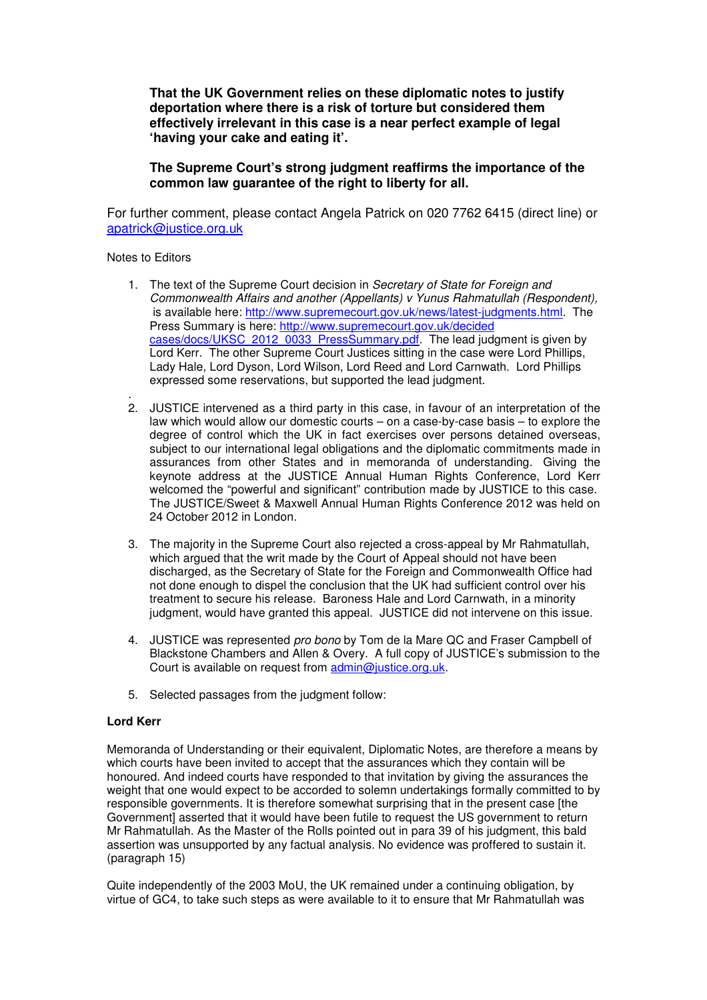**That the UK Government relies on these diplomatic notes to justify deportation where there is a risk of torture but considered them effectively irrelevant in this case is a near perfect example of legal 'having your cake and eating it'.** 

**The Supreme Court's strong judgment reaffirms the importance of the common law guarantee of the right to liberty for all.** 

For further comment, please contact Angela Patrick on 020 7762 6415 (direct line) or apatrick@justice.org.uk

#### Notes to Editors

- 1. The text of the Supreme Court decision in Secretary of State for Foreign and Commonwealth Affairs and another (Appellants) v Yunus Rahmatullah (Respondent), is available here: http://www.supremecourt.gov.uk/news/latest-judgments.html. The Press Summary is here: http://www.supremecourt.gov.uk/decided cases/docs/UKSC\_2012\_0033\_PressSummary.pdf. The lead judgment is given by Lord Kerr. The other Supreme Court Justices sitting in the case were Lord Phillips, Lady Hale, Lord Dyson, Lord Wilson, Lord Reed and Lord Carnwath. Lord Phillips expressed some reservations, but supported the lead judgment.
- . 2. JUSTICE intervened as a third party in this case, in favour of an interpretation of the law which would allow our domestic courts – on a case-by-case basis – to explore the degree of control which the UK in fact exercises over persons detained overseas, subject to our international legal obligations and the diplomatic commitments made in assurances from other States and in memoranda of understanding. Giving the keynote address at the JUSTICE Annual Human Rights Conference, Lord Kerr welcomed the "powerful and significant" contribution made by JUSTICE to this case. The JUSTICE/Sweet & Maxwell Annual Human Rights Conference 2012 was held on 24 October 2012 in London.
- 3. The majority in the Supreme Court also rejected a cross-appeal by Mr Rahmatullah, which argued that the writ made by the Court of Appeal should not have been discharged, as the Secretary of State for the Foreign and Commonwealth Office had not done enough to dispel the conclusion that the UK had sufficient control over his treatment to secure his release. Baroness Hale and Lord Carnwath, in a minority judgment, would have granted this appeal. JUSTICE did not intervene on this issue.
- 4. JUSTICE was represented *pro bono* by Tom de la Mare QC and Fraser Campbell of Blackstone Chambers and Allen & Overy. A full copy of JUSTICE's submission to the Court is available on request from admin@justice.org.uk.
- 5. Selected passages from the judgment follow:

## **Lord Kerr**

Memoranda of Understanding or their equivalent, Diplomatic Notes, are therefore a means by which courts have been invited to accept that the assurances which they contain will be honoured. And indeed courts have responded to that invitation by giving the assurances the weight that one would expect to be accorded to solemn undertakings formally committed to by responsible governments. It is therefore somewhat surprising that in the present case [the Government] asserted that it would have been futile to request the US government to return Mr Rahmatullah. As the Master of the Rolls pointed out in para 39 of his judgment, this bald assertion was unsupported by any factual analysis. No evidence was proffered to sustain it. (paragraph 15)

Quite independently of the 2003 MoU, the UK remained under a continuing obligation, by virtue of GC4, to take such steps as were available to it to ensure that Mr Rahmatullah was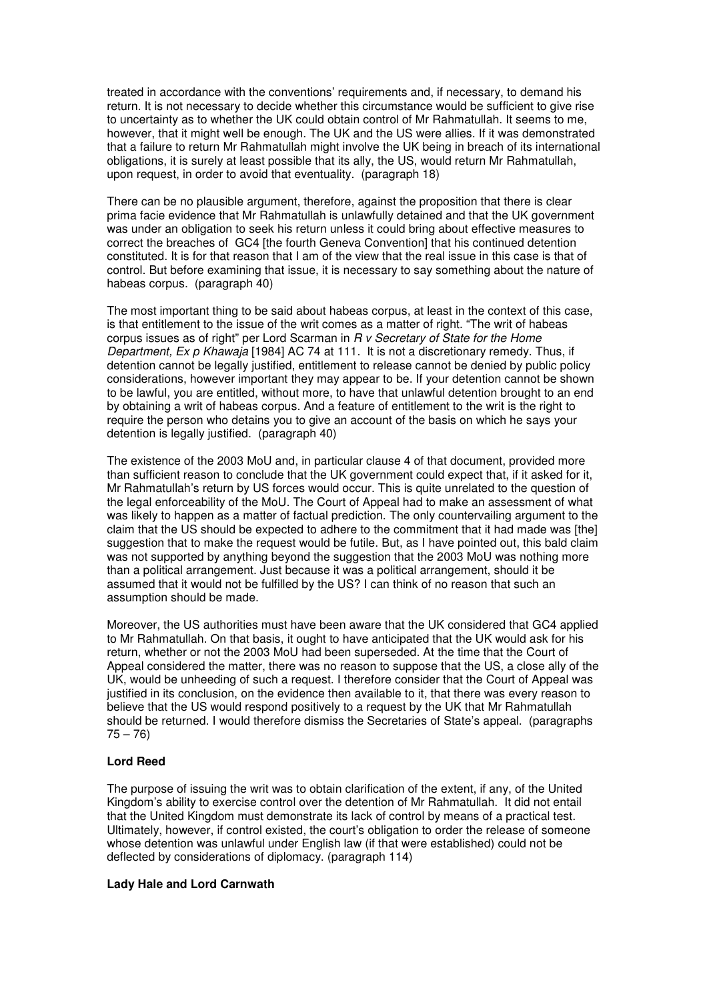treated in accordance with the conventions' requirements and, if necessary, to demand his return. It is not necessary to decide whether this circumstance would be sufficient to give rise to uncertainty as to whether the UK could obtain control of Mr Rahmatullah. It seems to me, however, that it might well be enough. The UK and the US were allies. If it was demonstrated that a failure to return Mr Rahmatullah might involve the UK being in breach of its international obligations, it is surely at least possible that its ally, the US, would return Mr Rahmatullah, upon request, in order to avoid that eventuality. (paragraph 18)

There can be no plausible argument, therefore, against the proposition that there is clear prima facie evidence that Mr Rahmatullah is unlawfully detained and that the UK government was under an obligation to seek his return unless it could bring about effective measures to correct the breaches of GC4 [the fourth Geneva Convention] that his continued detention constituted. It is for that reason that I am of the view that the real issue in this case is that of control. But before examining that issue, it is necessary to say something about the nature of habeas corpus. (paragraph 40)

The most important thing to be said about habeas corpus, at least in the context of this case, is that entitlement to the issue of the writ comes as a matter of right. "The writ of habeas corpus issues as of right" per Lord Scarman in R v Secretary of State for the Home Department, Ex p Khawaja [1984] AC 74 at 111. It is not a discretionary remedy. Thus, if detention cannot be legally justified, entitlement to release cannot be denied by public policy considerations, however important they may appear to be. If your detention cannot be shown to be lawful, you are entitled, without more, to have that unlawful detention brought to an end by obtaining a writ of habeas corpus. And a feature of entitlement to the writ is the right to require the person who detains you to give an account of the basis on which he says your detention is legally justified. (paragraph 40)

The existence of the 2003 MoU and, in particular clause 4 of that document, provided more than sufficient reason to conclude that the UK government could expect that, if it asked for it, Mr Rahmatullah's return by US forces would occur. This is quite unrelated to the question of the legal enforceability of the MoU. The Court of Appeal had to make an assessment of what was likely to happen as a matter of factual prediction. The only countervailing argument to the claim that the US should be expected to adhere to the commitment that it had made was [the] suggestion that to make the request would be futile. But, as I have pointed out, this bald claim was not supported by anything beyond the suggestion that the 2003 MoU was nothing more than a political arrangement. Just because it was a political arrangement, should it be assumed that it would not be fulfilled by the US? I can think of no reason that such an assumption should be made.

Moreover, the US authorities must have been aware that the UK considered that GC4 applied to Mr Rahmatullah. On that basis, it ought to have anticipated that the UK would ask for his return, whether or not the 2003 MoU had been superseded. At the time that the Court of Appeal considered the matter, there was no reason to suppose that the US, a close ally of the UK, would be unheeding of such a request. I therefore consider that the Court of Appeal was justified in its conclusion, on the evidence then available to it, that there was every reason to believe that the US would respond positively to a request by the UK that Mr Rahmatullah should be returned. I would therefore dismiss the Secretaries of State's appeal. (paragraphs  $75 - 76$ 

## **Lord Reed**

The purpose of issuing the writ was to obtain clarification of the extent, if any, of the United Kingdom's ability to exercise control over the detention of Mr Rahmatullah. It did not entail that the United Kingdom must demonstrate its lack of control by means of a practical test. Ultimately, however, if control existed, the court's obligation to order the release of someone whose detention was unlawful under English law (if that were established) could not be deflected by considerations of diplomacy. (paragraph 114)

#### **Lady Hale and Lord Carnwath**